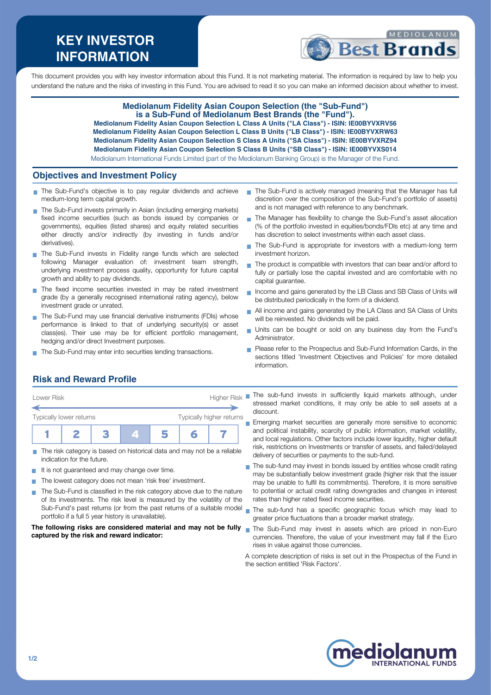# **KEY INVESTOR INFORMATION**



This document provides you with key investor information about this Fund. It is not marketing material. The information is required by law to help you understand the nature and the risks of investing in this Fund. You are advised to read it so you can make an informed decision about whether to invest.

### **Mediolanum Fidelity Asian Coupon Selection (the "Sub-Fund") is a Sub-Fund of Mediolanum Best Brands (the "Fund").**

**Mediolanum Fidelity Asian Coupon Selection L Class A Units ("LA Class") - ISIN: IE00BYVXRV56 Mediolanum Fidelity Asian Coupon Selection L Class B Units ("LB Class") - ISIN: IE00BYVXRW63 Mediolanum Fidelity Asian Coupon Selection S Class A Units ("SA Class") - ISIN: IE00BYVXRZ94 Mediolanum Fidelity Asian Coupon Selection S Class B Units ("SB Class") - ISIN: IE00BYVXS014** Mediolanum International Funds Limited (part of the Mediolanum Banking Group) is the Manager of the Fund.

**Objectives and Investment Policy**

- The Sub-Fund's objective is to pay regular dividends and achieve medium-long term capital growth.
- The Sub-Fund invests primarily in Asian (including emerging markets) fixed income securities (such as bonds issued by companies or governments), equities (listed shares) and equity related securities either directly and/or indirectly (by investing in funds and/or derivatives).
- The Sub-Fund invests in Fidelity range funds which are selected following Manager evaluation of: investment team strength, underlying investment process quality, opportunity for future capital growth and ability to pay dividends.
- The fixed income securities invested in may be rated investment grade (by a generally recognised international rating agency), below investment grade or unrated.
- The Sub-Fund may use financial derivative instruments (FDIs) whose performance is linked to that of underlying security(s) or asset class(es). Their use may be for efficient portfolio management, hedging and/or direct Investment purposes.
- The Sub-Fund may enter into securities lending transactions.
- The Sub-Fund is actively managed (meaning that the Manager has full discretion over the composition of the Sub-Fund's portfolio of assets) and is not managed with reference to any benchmark.
- The Manager has flexibility to change the Sub-Fund's asset allocation m, (% of the portfolio invested in equities/bonds/FDIs etc) at any time and has discretion to select investments within each asset class.
- The Sub-Fund is appropriate for investors with a medium-long term investment horizon.
- The product is compatible with investors that can bear and/or afford to  $\overline{\phantom{a}}$ fully or partially lose the capital invested and are comfortable with no capital guarantee.
- Income and gains generated by the LB Class and SB Class of Units will be distributed periodically in the form of a dividend.
- All income and gains generated by the LA Class and SA Class of Units will be reinvested. No dividends will be paid.
- Units can be bought or sold on any business day from the Fund's Administrator.
- Please refer to the Prospectus and Sub-Fund Information Cards, in the sections titled 'Investment Objectives and Policies' for more detailed information.

# **Risk and Reward Profile**

| Lower Risk              |                          |  | <b>Higher Risk</b> |  |
|-------------------------|--------------------------|--|--------------------|--|
| Typically lower returns | Typically higher returns |  |                    |  |
|                         |                          |  |                    |  |

- The risk category is based on historical data and may not be a reliable П indication for the future.
- It is not guaranteed and may change over time.
- The lowest category does not mean 'risk free' investment.
- The Sub-Fund is classified in the risk category above due to the nature  $\sim$ of its investments. The risk level is measured by the volatility of the Sub-Fund's past returns (or from the past returns of a suitable model portfolio if a full 5 year history is unavailable).

#### **The following risks are considered material and may not be fully** The Sub-Fund may invest in assets which are priced in non-Euro **captured by the risk and reward indicator:**

The sub-fund invests in sufficiently liquid markets although, under stressed market conditions, it may only be able to sell assets at a discount.

**Emerging market securities are generally more sensitive to economic** and political instability, scarcity of public information, market volatility, and local regulations. Other factors include lower liquidity, higher default risk, restrictions on Investments or transfer of assets, and failed/delayed delivery of securities or payments to the sub-fund.

- The sub-fund may invest in bonds issued by entities whose credit rating may be substantially below investment grade (higher risk that the issuer may be unable to fulfil its commitments). Therefore, it is more sensitive to potential or actual credit rating downgrades and changes in interest rates than higher rated fixed income securities.
- The sub-fund has a specific geographic focus which may lead to greater price fluctuations than a broader market strategy.
- currencies. Therefore, the value of your investment may fall if the Euro rises in value against those currencies.

A complete description of risks is set out in the Prospectus of the Fund in the section entitled 'Risk Factors'.